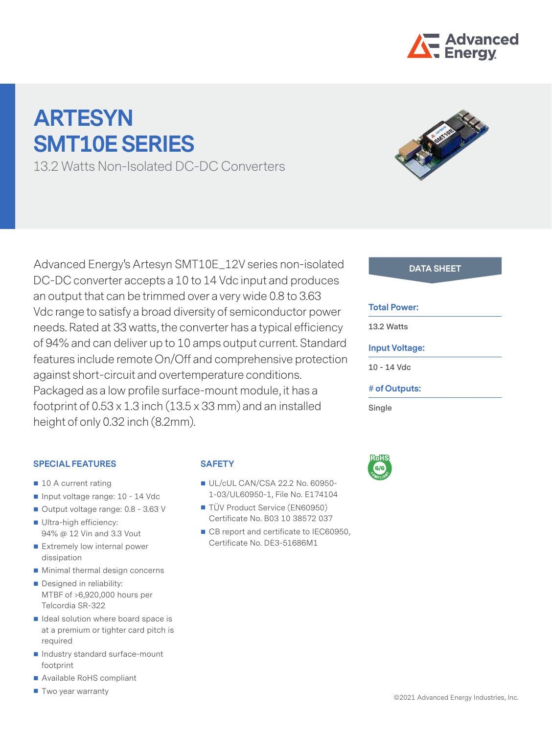

# **ARTESYN SMT10E SERIES**

13.2 Watts Non-Isolated DC-DC Converters

Advanced Energy's Artesyn SMT10E\_12V series non-isolated **DATA SHEET** DC-DC converter accepts a 10 to 14 Vdc input and produces an output that can be trimmed over a very wide 0.8 to 3.63 Vdc range to satisfy a broad diversity of semiconductor power needs. Rated at 33 watts, the converter has a typical efficiency of 94% and can deliver up to 10 amps output current. Standard features include remote On/Off and comprehensive protection against short-circuit and overtemperature conditions. Packaged as a low profile surface-mount module, it has a footprint of  $0.53 \times 1.3$  inch  $(13.5 \times 33$  mm) and an installed height of only 0.32 inch (8.2mm).

#### **Total Power:**

**13.2 Watts**

#### **Input Voltage:**

**10 - 14 Vdc**

#### **# of Outputs:**

**Single**



#### **SPECIAL FEATURES**

- 10 A current rating
- Input voltage range: 10 14 Vdc
- Output voltage range: 0.8 3.63 V
- Ultra-high efficiency: 94% @ 12 Vin and 3.3 Vout
- Extremely low internal power dissipation
- **Minimal thermal design concerns**
- Designed in reliability: MTBF of >6,920,000 hours per Telcordia SR-322
- $\blacksquare$  Ideal solution where board space is at a premium or tighter card pitch is required
- Industry standard surface-mount footprint
- Available RoHS compliant
- **T** Two year warranty

## **SAFETY**

- UL/cUL CAN/CSA 22.2 No. 60950-1-03/UL60950-1, File No. E174104
- TÜV Product Service (EN60950) Certificate No. B03 10 38572 037
- CB report and certificate to IEC60950, Certificate No. DE3-51686M1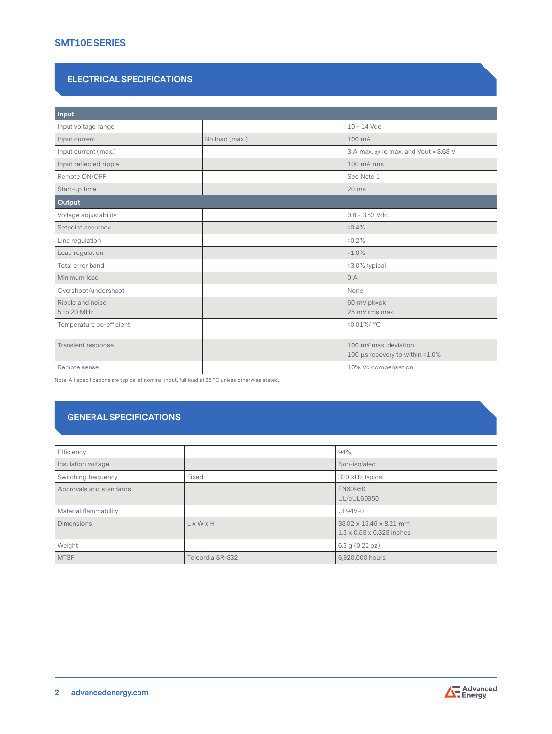#### **SMT10E SERIES**

#### **ELECTRICAL SPECIFICATIONS**

| Input                           |                |                                                          |  |  |
|---------------------------------|----------------|----------------------------------------------------------|--|--|
| Input voltage range             |                | 10 - 14 Vdc                                              |  |  |
| Input current                   | No load (max.) | 100 mA                                                   |  |  |
| Input current (max.)            |                | 3 A max. @ Io max. and Vout = 3.63 V                     |  |  |
| Input reflected ripple          |                | 100 mA rms                                               |  |  |
| Remote ON/OFF                   |                | See Note 1                                               |  |  |
| Start-up time                   |                | $20$ ms                                                  |  |  |
| Output                          |                |                                                          |  |  |
| Voltage adjustability           |                | $0.8 - 3.63$ Vdc                                         |  |  |
| Setpoint accuracy               |                | ±0.4%                                                    |  |  |
| Line regulation                 |                | ±0.2%                                                    |  |  |
| Load regulation                 |                | ±1.0%                                                    |  |  |
| Total error band                |                | ±3.0% typical                                            |  |  |
| Minimum load                    |                | 0A                                                       |  |  |
| Overshoot/undershoot            |                | None                                                     |  |  |
| Ripple and noise<br>5 to 20 MHz |                | 60 mV pk=pk<br>25 mV rms max.                            |  |  |
| Temperature co-efficient        |                | ±0.01%/ °C                                               |  |  |
| Transient response              |                | 100 mV max, deviation<br>100 µs recovery to within ±1.0% |  |  |
| Remote sense                    |                | 10% Vo compensation                                      |  |  |

Note: All specifications are typical at nominal input, full load at 25 °C unless otherwise stated.

## **GENERAL SPECIFICATIONS**

| Efficiency              |                       | 94%                                                              |
|-------------------------|-----------------------|------------------------------------------------------------------|
| Insulation voltage      |                       | Non-isolated                                                     |
| Switching frequency     | Fixed                 | 320 kHz typical                                                  |
| Approvals and standards |                       | EN60950<br>UL/cUL60950                                           |
| Material flammability   |                       | <b>UL94V-0</b>                                                   |
| <b>Dimensions</b>       | $L \times W \times H$ | 33.02 x 13.46 x 8.21 mm<br>$1.3 \times 0.53 \times 0.323$ inches |
| Weight                  |                       | 6.3 $g(0.22 oz)$                                                 |
| <b>MTBF</b>             | Telcordia SR-332      | 6,920,000 hours                                                  |

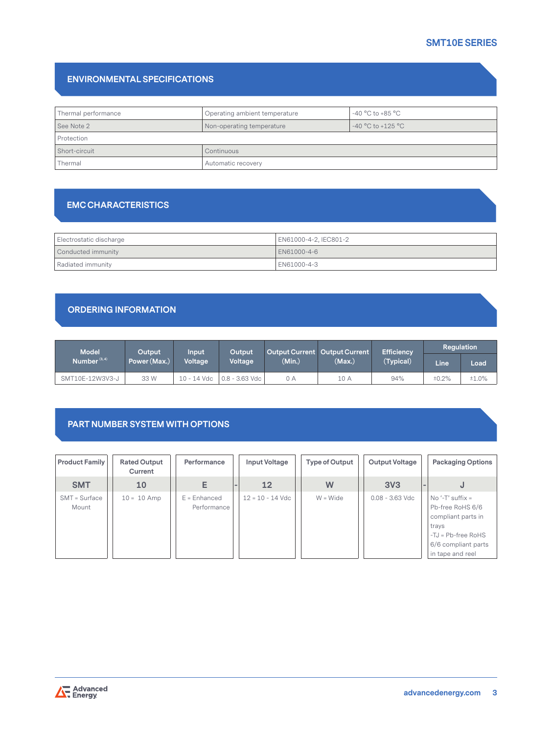## **SMT10E SERIES**

#### **ENVIRONMENTAL SPECIFICATIONS**

| Thermal performance | $-40\,^{\circ}\mathrm{C}$ to $+85\,^{\circ}\mathrm{C}$<br>Operating ambient temperature |  |  |  |
|---------------------|-----------------------------------------------------------------------------------------|--|--|--|
| See Note 2          | $-40 °C$ to $+125 °C$<br>Non-operating temperature                                      |  |  |  |
| Protection          |                                                                                         |  |  |  |
| Short-circuit       | Continuous                                                                              |  |  |  |
| Thermal             | Automatic recovery                                                                      |  |  |  |

#### **EMC CHARACTERISTICS**

| Electrostatic discharge | EN61000-4-2, IEC801-2 |  |  |
|-------------------------|-----------------------|--|--|
| Conducted immunity      | LEN61000-4-6          |  |  |
| Radiated immunity       | EN61000-4-3           |  |  |

#### **ORDERING INFORMATION**

| <b>Model</b>    | Output.      | Input       | Output           |        | <b>Efficiency</b><br>Output Current Output Current |           | Regulation  |       |
|-----------------|--------------|-------------|------------------|--------|----------------------------------------------------|-----------|-------------|-------|
| Number $(3, 4)$ | Power (Max.) | Voltage     | Voltage          | (Min.) | (Max)                                              | (Typical) | <b>Line</b> | Load  |
| SMT10E-12W3V3-J | 33 W         | 10 - 14 Vdc | $0.8 - 3.63$ Vdc | 0 A    | 10 A                                               | 94%       | ±0.2%       | ±1.0% |

## **PART NUMBER SYSTEM WITH OPTIONS**

| <b>Product Family</b>    | <b>Rated Output</b><br>Current | Performance                   | Input Voltage      | Type of Output | Output Voltage    | <b>Packaging Options</b>                                                                                                                   |
|--------------------------|--------------------------------|-------------------------------|--------------------|----------------|-------------------|--------------------------------------------------------------------------------------------------------------------------------------------|
| <b>SMT</b>               | 10                             | E                             | 12                 | W              | 3V <sub>3</sub>   | $\sim$<br>J                                                                                                                                |
| $SMT = Surface$<br>Mount | $10 = 10$ Amp                  | $E =$ Enhanced<br>Performance | $12 = 10 - 14$ Vdc | $W = Wide$     | $0.08 - 3.63$ Vdc | $No ' - T'$ suffix =<br>Pb-free RoHS 6/6<br>compliant parts in<br>trays<br>$-TJ = Pb-free RoHS$<br>6/6 compliant parts<br>in tape and reel |

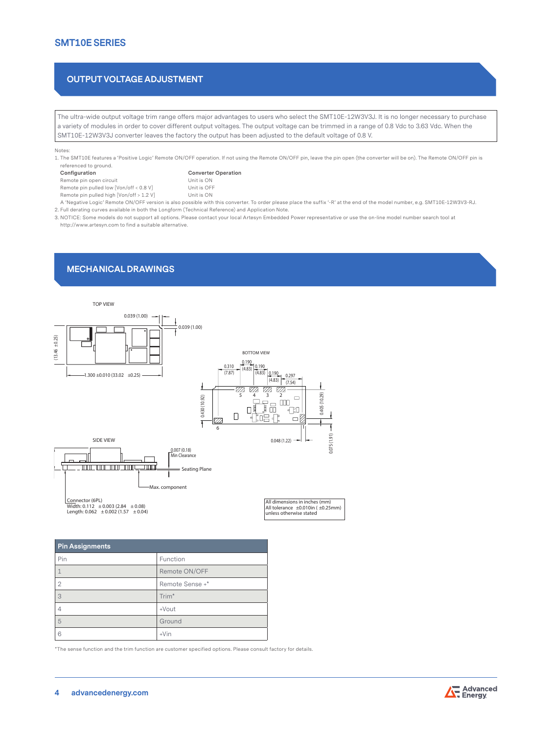#### **SMT10E SERIES**

#### **OUTPUT VOLTAGE ADJUSTMENT**

The ultra-wide output voltage trim range offers major advantages to users who select the SMT10E-12W3V3J. It is no longer necessary to purchase a variety of modules in order to cover different output voltages. The output voltage can be trimmed in a range of 0.8 Vdc to 3.63 Vdc. When the SMT10E-12W3V3J converter leaves the factory the output has been adjusted to the default voltage of 0.8 V.

#### Notes:

1. The SMT10E features a 'Positive Logic' Remote ON/OFF operation. If not using the Remote ON/OFF pin, leave the pin open (the converter will be on). The Remote ON/OFF pin is referenced to ground. **Configuration Converter Operation**

| Configuration                            | Converter   |
|------------------------------------------|-------------|
| Remote pin open circuit                  | Unit is ON  |
| Remote pin pulled low [Von/off < 0.8 V]  | Unit is OFF |
| Remote pin pulled high [Von/off > 1.2 V] | Unit is ON  |

A 'Negative Logic' Remote ON/OFF version is also possible with this converter. To order please place the suffix '-R' at the end of the model number, e.g. SMT10E-12W3V3-RJ. 2. Full derating curves available in both the Longform (Technical Reference) and Application Note.

3. NOTICE: Some models do not support all options. Please contact your local Artesyn Embedded Power representative or use the on-line model number search tool at http://www.artesyn.com to find a suitable alternative.

#### **MECHANICAL DRAWINGS**



| <b>Pin Assignments</b> |                   |  |
|------------------------|-------------------|--|
| Pin                    | Function          |  |
|                        | Remote ON/OFF     |  |
| $\overline{2}$         | Remote Sense +*   |  |
| 3                      | Trim <sup>*</sup> |  |
|                        | $+$ Vout          |  |
| 5                      | Ground            |  |
| 6                      | $+V$ in           |  |

\*The sense function and the trim function are customer specified options. Please consult factory for details.